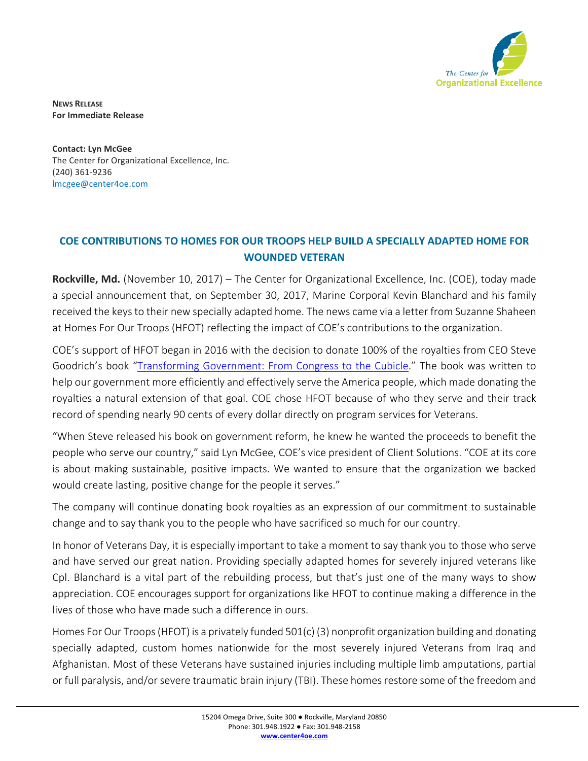

**NEWS RELEASE For Immediate Release**

**Contact: Lyn McGee** The Center for Organizational Excellence, Inc. (240) 361-9236 lmcgee@center4oe.com

## **COE CONTRIBUTIONS TO HOMES FOR OUR TROOPS HELP BUILD A SPECIALLY ADAPTED HOME FOR WOUNDED VETERAN**

Rockville, Md. (November 10, 2017) – The Center for Organizational Excellence, Inc. (COE), today made a special announcement that, on September 30, 2017, Marine Corporal Kevin Blanchard and his family received the keys to their new specially adapted home. The news came via a letter from Suzanne Shaheen at Homes For Our Troops (HFOT) reflecting the impact of COE's contributions to the organization.

COE's support of HFOT began in 2016 with the decision to donate 100% of the royalties from CEO Steve Goodrich's book "Transforming Government: From Congress to the Cubicle." The book was written to help our government more efficiently and effectively serve the America people, which made donating the royalties a natural extension of that goal. COE chose HFOT because of who they serve and their track record of spending nearly 90 cents of every dollar directly on program services for Veterans.

"When Steve released his book on government reform, he knew he wanted the proceeds to benefit the people who serve our country," said Lyn McGee, COE's vice president of Client Solutions. "COE at its core is about making sustainable, positive impacts. We wanted to ensure that the organization we backed would create lasting, positive change for the people it serves."

The company will continue donating book royalties as an expression of our commitment to sustainable change and to say thank you to the people who have sacrificed so much for our country.

In honor of Veterans Day, it is especially important to take a moment to say thank you to those who serve and have served our great nation. Providing specially adapted homes for severely injured veterans like Cpl. Blanchard is a vital part of the rebuilding process, but that's just one of the many ways to show appreciation. COE encourages support for organizations like HFOT to continue making a difference in the lives of those who have made such a difference in ours.

Homes For Our Troops (HFOT) is a privately funded 501(c) (3) nonprofit organization building and donating specially adapted, custom homes nationwide for the most severely injured Veterans from Iraq and Afghanistan. Most of these Veterans have sustained injuries including multiple limb amputations, partial or full paralysis, and/or severe traumatic brain injury (TBI). These homes restore some of the freedom and